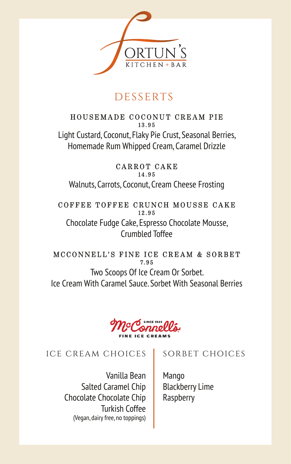

# **DESSERTS**

#### HOUSEMADE COCONUT CREAM PIE 13.95

Light Custard, Coconut, Flaky Pie Crust, Seasonal Berries, Homemade Rum Whipped Cream, Caramel Drizzle

#### CARROT CAKE 14.95

Walnuts, Carrots, Coconut, Cream Cheese Frosting

#### COFFEE TOFFEE CRUNCH MOUSSE CAKE 12.95

Chocolate Fudge Cake, Espresso Chocolate Mousse, Crumbled Toffee

#### MCCONNELL'S FINE ICE CREAM & SORBET 7.95

Two Scoops Of Ice Cream Or Sorbet. Ice Cream With Caramel Sauce. Sorbet With Seasonal Berries



### ice cream choices

Vanilla Bean Salted Caramel Chip Chocolate Chocolate Chip Turkish Coffee (Vegan, dairy free, no toppings)

# sorbet choices

Mango Blackberry Lime Raspberry